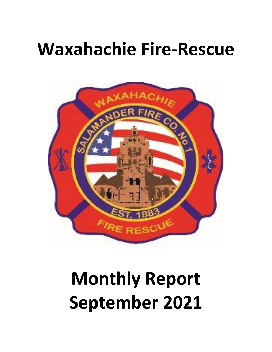## **Waxahachie Fire-Rescue**



# **Monthly Report September 2021**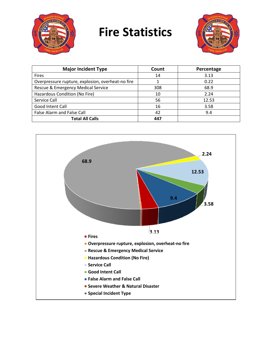

## **Fire Statistics**



| <b>Major Incident Type</b>                        | Count | Percentage |
|---------------------------------------------------|-------|------------|
| <b>Fires</b>                                      | 14    | 3.13       |
| Overpressure rupture, explosion, overheat-no fire |       | 0.22       |
| Rescue & Emergency Medical Service                | 308   | 68.9       |
| Hazardous Condition (No Fire)                     | 10    | 2.24       |
| Service Call                                      | 56    | 12.53      |
| Good Intent Call                                  | 16    | 3.58       |
| False Alarm and False Call                        | 42    | 9.4        |
| <b>Total All Calls</b>                            | 447   |            |

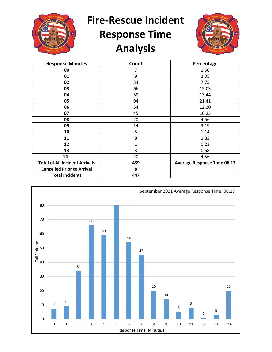

**Fire-Rescue Incident** 

## **Response Time Analysis**



| <b>Response Minutes</b>               | Count        | Percentage                         |
|---------------------------------------|--------------|------------------------------------|
| 00                                    | 7            | 1.50                               |
| 01                                    | 9            | 2.05                               |
| 02                                    | 34           | 7.75                               |
| 03                                    | 66           | 15.03                              |
| 04                                    | 59           | 13.44                              |
| 05                                    | 94           | 21.41                              |
| 06                                    | 54           | 12.30                              |
| 07                                    | 45           | 10.25                              |
| 08                                    | 20           | 4.56                               |
| 09                                    | 14           | 3.19                               |
| 10                                    | 5            | 1.14                               |
| 11                                    | 8            | 1.82                               |
| 12                                    | $\mathbf{1}$ | 0.23                               |
| 13                                    | 3            | 0.68                               |
| $14+$                                 | 20           | 4.56                               |
| <b>Total of All Incident Arrivals</b> | 439          | <b>Average Response Time 06:17</b> |
| <b>Cancelled Prior to Arrival</b>     | 8            |                                    |
| <b>Total Incidents</b>                | 447          |                                    |

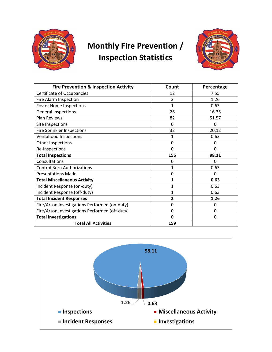

#### **Monthly Fire Prevention / Inspection Statistics**



| <b>Fire Prevention &amp; Inspection Activity</b> | Count        | Percentage |
|--------------------------------------------------|--------------|------------|
| Certificate of Occupancies                       | 12           | 7.55       |
| Fire Alarm Inspection                            | 2            | 1.26       |
| <b>Foster Home Inspections</b>                   | $\mathbf{1}$ | 0.63       |
| <b>General Inspections</b>                       | 26           | 16.35      |
| <b>Plan Reviews</b>                              | 82           | 51.57      |
| Site Inspections                                 | 0            | 0          |
| <b>Fire Sprinkler Inspections</b>                | 32           | 20.12      |
| Ventahood Inspections                            | 1            | 0.63       |
| Other Inspections                                | $\mathbf 0$  | 0          |
| Re-Inspections                                   | $\Omega$     | 0          |
| <b>Total Inspections</b>                         | 156          | 98.11      |
| Consultations                                    | $\Omega$     | $\Omega$   |
| <b>Control Burn Authorizations</b>               | $\mathbf{1}$ | 0.63       |
| <b>Presentations Made</b>                        | $\mathbf 0$  | 0          |
| <b>Total Miscellaneous Activity</b>              | 1            | 0.63       |
| Incident Response (on-duty)                      | 1            | 0.63       |
| Incident Response (off-duty)                     | $\mathbf{1}$ | 0.63       |
| <b>Total Incident Responses</b>                  | 2            | 1.26       |
| Fire/Arson Investigations Performed (on-duty)    | $\mathbf{0}$ | 0          |
| Fire/Arson Investigations Performed (off-duty)   | $\Omega$     | 0          |
| <b>Total Investigations</b>                      | $\mathbf 0$  | 0          |
| <b>Total All Activities</b>                      | 159          |            |